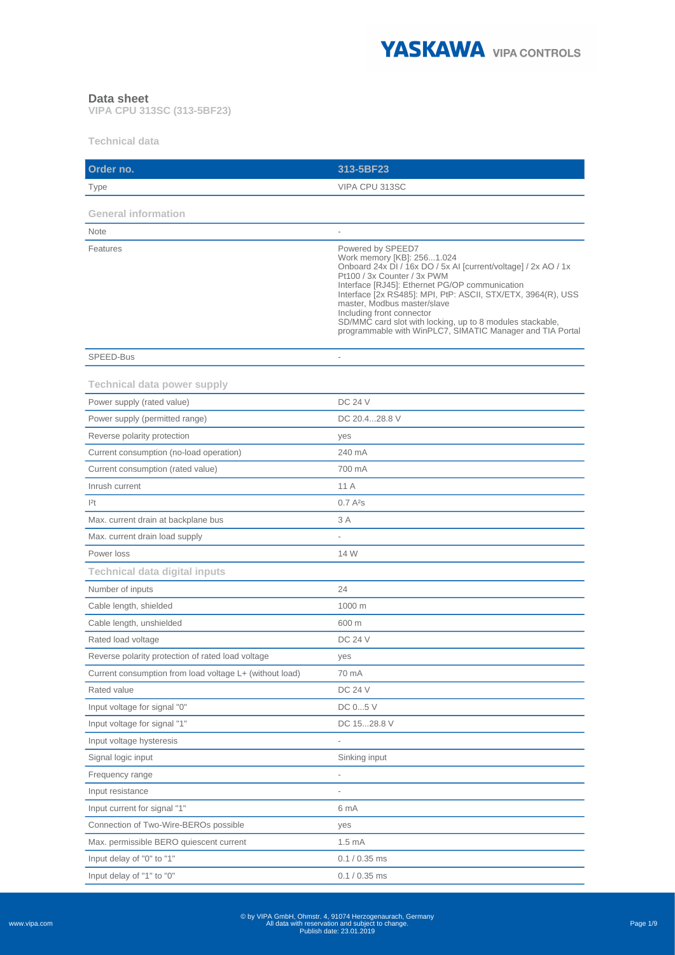

## **Data sheet**

**VIPA CPU 313SC (313-5BF23)**

**Technical data**

| Order no.                                                        | 313-5BF23                                                                                                                                                                                                                                                                                                                                                                                                                                                |
|------------------------------------------------------------------|----------------------------------------------------------------------------------------------------------------------------------------------------------------------------------------------------------------------------------------------------------------------------------------------------------------------------------------------------------------------------------------------------------------------------------------------------------|
| Type                                                             | VIPA CPU 313SC                                                                                                                                                                                                                                                                                                                                                                                                                                           |
| <b>General information</b>                                       |                                                                                                                                                                                                                                                                                                                                                                                                                                                          |
| <b>Note</b>                                                      |                                                                                                                                                                                                                                                                                                                                                                                                                                                          |
| Features                                                         | Powered by SPEED7<br>Work memory [KB]: 2561.024<br>Onboard 24x DI / 16x DO / 5x AI [current/voltage] / 2x AO / 1x<br>Pt100 / 3x Counter / 3x PWM<br>Interface [RJ45]: Ethernet PG/OP communication<br>Interface [2x RS485]: MPI, PtP: ASCII, STX/ETX, 3964(R), USS<br>master, Modbus master/slave<br>Including front connector<br>SD/MMC card slot with locking, up to 8 modules stackable,<br>programmable with WinPLC7, SIMATIC Manager and TIA Portal |
| SPEED-Bus                                                        |                                                                                                                                                                                                                                                                                                                                                                                                                                                          |
| <b>Technical data power supply</b><br>Power supply (rated value) | <b>DC 24 V</b>                                                                                                                                                                                                                                                                                                                                                                                                                                           |
| Power supply (permitted range)                                   | DC 20.428.8 V                                                                                                                                                                                                                                                                                                                                                                                                                                            |
| Reverse polarity protection                                      | yes                                                                                                                                                                                                                                                                                                                                                                                                                                                      |
| Current consumption (no-load operation)                          | 240 mA                                                                                                                                                                                                                                                                                                                                                                                                                                                   |
| Current consumption (rated value)                                | 700 mA                                                                                                                                                                                                                                                                                                                                                                                                                                                   |
| Inrush current                                                   | 11 A                                                                                                                                                                                                                                                                                                                                                                                                                                                     |
| 2t                                                               | 0.7A <sup>2</sup> S                                                                                                                                                                                                                                                                                                                                                                                                                                      |
| Max. current drain at backplane bus                              | 3 A                                                                                                                                                                                                                                                                                                                                                                                                                                                      |
| Max. current drain load supply                                   |                                                                                                                                                                                                                                                                                                                                                                                                                                                          |
| Power loss                                                       | 14 W                                                                                                                                                                                                                                                                                                                                                                                                                                                     |
| <b>Technical data digital inputs</b>                             |                                                                                                                                                                                                                                                                                                                                                                                                                                                          |
| Number of inputs                                                 | 24                                                                                                                                                                                                                                                                                                                                                                                                                                                       |
| Cable length, shielded                                           | 1000 m                                                                                                                                                                                                                                                                                                                                                                                                                                                   |
| Cable length, unshielded                                         | 600 m                                                                                                                                                                                                                                                                                                                                                                                                                                                    |
| Rated load voltage                                               | <b>DC 24 V</b>                                                                                                                                                                                                                                                                                                                                                                                                                                           |
| Reverse polarity protection of rated load voltage                | yes                                                                                                                                                                                                                                                                                                                                                                                                                                                      |
| Current consumption from load voltage L+ (without load)          | 70 mA                                                                                                                                                                                                                                                                                                                                                                                                                                                    |
| Rated value                                                      | <b>DC 24 V</b>                                                                                                                                                                                                                                                                                                                                                                                                                                           |
| Input voltage for signal "0"                                     | DC 05 V                                                                                                                                                                                                                                                                                                                                                                                                                                                  |
| Input voltage for signal "1"                                     | DC 1528.8 V                                                                                                                                                                                                                                                                                                                                                                                                                                              |
| Input voltage hysteresis                                         |                                                                                                                                                                                                                                                                                                                                                                                                                                                          |
| Signal logic input                                               | Sinking input                                                                                                                                                                                                                                                                                                                                                                                                                                            |
| Frequency range                                                  |                                                                                                                                                                                                                                                                                                                                                                                                                                                          |
| Input resistance                                                 |                                                                                                                                                                                                                                                                                                                                                                                                                                                          |
| Input current for signal "1"                                     | 6 mA                                                                                                                                                                                                                                                                                                                                                                                                                                                     |
| Connection of Two-Wire-BEROs possible                            | yes                                                                                                                                                                                                                                                                                                                                                                                                                                                      |
| Max. permissible BERO quiescent current                          | 1.5 <sub>mA</sub>                                                                                                                                                                                                                                                                                                                                                                                                                                        |
| Input delay of "0" to "1"                                        | $0.1 / 0.35$ ms                                                                                                                                                                                                                                                                                                                                                                                                                                          |
| Input delay of "1" to "0"                                        | $0.1 / 0.35$ ms                                                                                                                                                                                                                                                                                                                                                                                                                                          |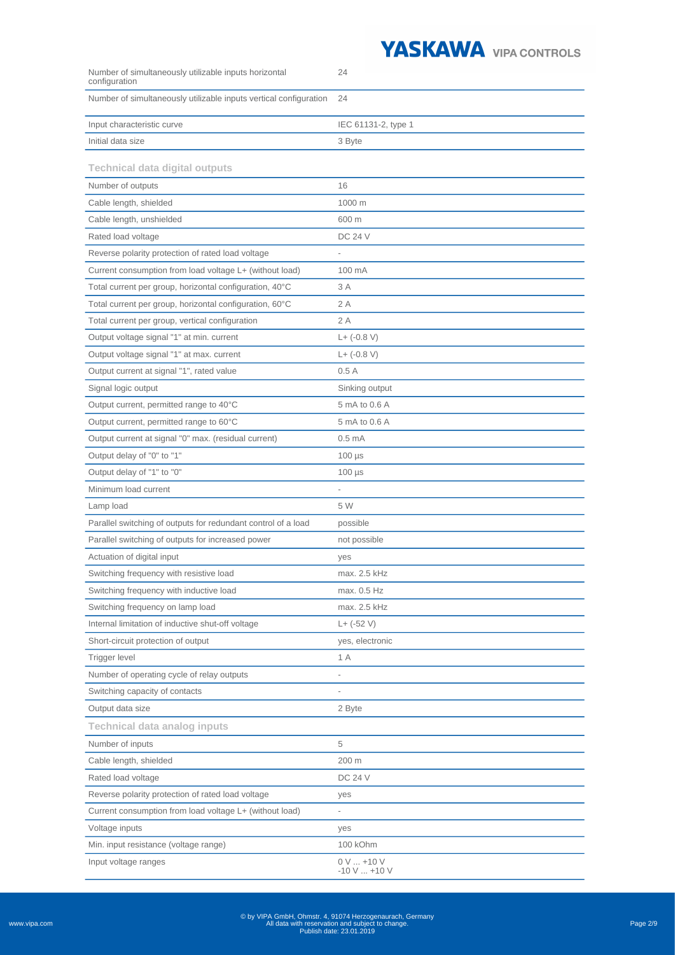

| configuration                                                     |                                   |
|-------------------------------------------------------------------|-----------------------------------|
| Number of simultaneously utilizable inputs vertical configuration | 24                                |
| Input characteristic curve                                        | IEC 61131-2, type 1               |
| Initial data size                                                 | 3 Byte                            |
| <b>Technical data digital outputs</b>                             |                                   |
| Number of outputs                                                 | 16                                |
| Cable length, shielded                                            | 1000 m                            |
| Cable length, unshielded                                          | 600 m                             |
| Rated load voltage                                                | <b>DC 24 V</b>                    |
| Reverse polarity protection of rated load voltage                 |                                   |
| Current consumption from load voltage L+ (without load)           | 100 mA                            |
| Total current per group, horizontal configuration, 40°C           | 3 A                               |
| Total current per group, horizontal configuration, 60°C           | 2 A                               |
| Total current per group, vertical configuration                   | 2A                                |
| Output voltage signal "1" at min. current                         | $L+ (-0.8 V)$                     |
| Output voltage signal "1" at max. current                         | $L+ (-0.8 V)$                     |
| Output current at signal "1", rated value                         | 0.5A                              |
| Signal logic output                                               | Sinking output                    |
| Output current, permitted range to 40°C                           | 5 mA to 0.6 A                     |
| Output current, permitted range to 60°C                           | 5 mA to 0.6 A                     |
| Output current at signal "0" max. (residual current)              | 0.5 <sub>mA</sub>                 |
| Output delay of "0" to "1"                                        | $100 \mu s$                       |
| Output delay of "1" to "0"                                        | $100 \mu s$                       |
| Minimum load current                                              | $\overline{\phantom{a}}$          |
| Lamp load                                                         | 5 W                               |
| Parallel switching of outputs for redundant control of a load     | possible                          |
| Parallel switching of outputs for increased power                 | not possible                      |
| Actuation of digital input                                        | yes                               |
| Switching frequency with resistive load                           | max. 2.5 kHz                      |
| Switching frequency with inductive load                           | max. 0.5 Hz                       |
| Switching frequency on lamp load                                  | max. 2.5 kHz                      |
| Internal limitation of inductive shut-off voltage                 | $L+ (-52 V)$                      |
| Short-circuit protection of output                                | yes, electronic                   |
| Trigger level                                                     | 1 A                               |
| Number of operating cycle of relay outputs                        |                                   |
| Switching capacity of contacts                                    |                                   |
| Output data size                                                  | 2 Byte                            |
| <b>Technical data analog inputs</b>                               |                                   |
| Number of inputs                                                  | 5                                 |
| Cable length, shielded                                            | 200 m                             |
| Rated load voltage                                                | <b>DC 24 V</b>                    |
| Reverse polarity protection of rated load voltage                 | yes                               |
| Current consumption from load voltage L+ (without load)           | L,                                |
| Voltage inputs                                                    | yes                               |
| Min. input resistance (voltage range)                             | 100 kOhm                          |
| Input voltage ranges                                              | $0 V  + 10 V$<br>$-10$ V $$ +10 V |

24

Number of simultaneously utilizable inputs horizontal

www.vipa.com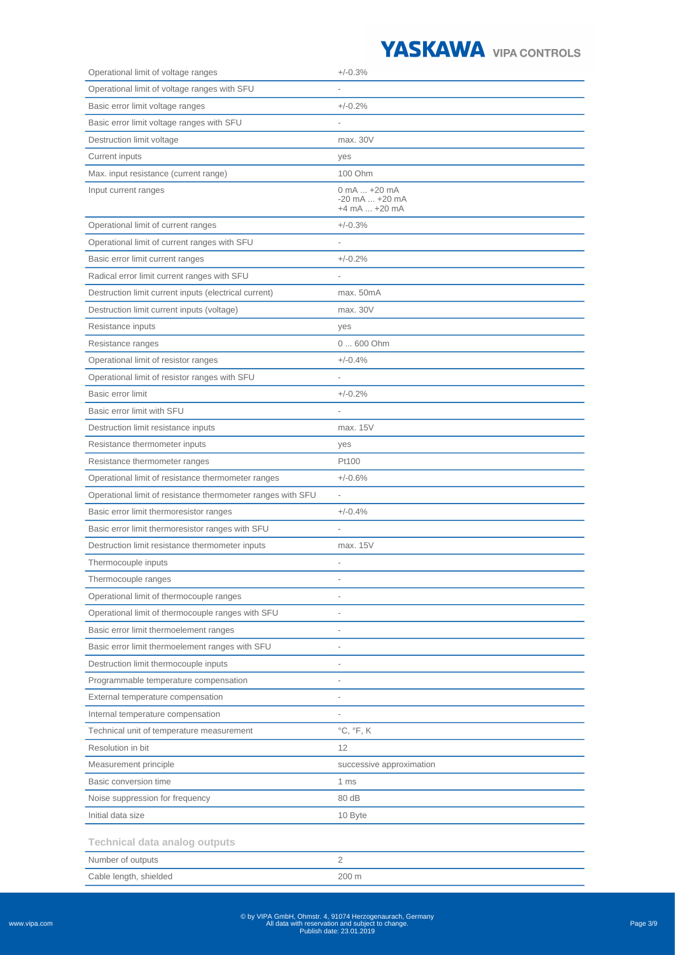

| Operational limit of voltage ranges                         | $+/-0.3%$                           |
|-------------------------------------------------------------|-------------------------------------|
| Operational limit of voltage ranges with SFU                |                                     |
| Basic error limit voltage ranges                            | $+/-0.2%$                           |
| Basic error limit voltage ranges with SFU                   |                                     |
| Destruction limit voltage                                   | max. 30V                            |
| Current inputs                                              | yes                                 |
| Max. input resistance (current range)                       | 100 Ohm                             |
| Input current ranges                                        | 0 mA  +20 mA                        |
|                                                             | $-20$ mA $ +20$ mA<br>+4 mA  +20 mA |
| Operational limit of current ranges                         | $+/-0.3%$                           |
| Operational limit of current ranges with SFU                |                                     |
| Basic error limit current ranges                            | $+/-0.2%$                           |
| Radical error limit current ranges with SFU                 |                                     |
| Destruction limit current inputs (electrical current)       | max. 50mA                           |
| Destruction limit current inputs (voltage)                  | max. 30V                            |
| Resistance inputs                                           | yes                                 |
| Resistance ranges                                           | 0  600 Ohm                          |
| Operational limit of resistor ranges                        | $+/-0.4%$                           |
| Operational limit of resistor ranges with SFU               |                                     |
| Basic error limit                                           | $+/-0.2%$                           |
| Basic error limit with SFU                                  |                                     |
| Destruction limit resistance inputs                         | max. 15V                            |
| Resistance thermometer inputs                               | yes                                 |
| Resistance thermometer ranges                               | Pt100                               |
| Operational limit of resistance thermometer ranges          | $+/-0.6%$                           |
| Operational limit of resistance thermometer ranges with SFU |                                     |
| Basic error limit thermoresistor ranges                     | $+/-0.4%$                           |
| Basic error limit thermoresistor ranges with SFU            |                                     |
| Destruction limit resistance thermometer inputs             | max. 15V                            |
| Thermocouple inputs                                         |                                     |
| Thermocouple ranges                                         |                                     |
| Operational limit of thermocouple ranges                    |                                     |
| Operational limit of thermocouple ranges with SFU           |                                     |
| Basic error limit thermoelement ranges                      | $\overline{\phantom{0}}$            |
| Basic error limit thermoelement ranges with SFU             | $\overline{a}$                      |
| Destruction limit thermocouple inputs                       |                                     |
| Programmable temperature compensation                       |                                     |
| External temperature compensation                           |                                     |
| Internal temperature compensation                           |                                     |
| Technical unit of temperature measurement                   | $^{\circ}C, ^{\circ}F, K$           |
| Resolution in bit                                           | 12                                  |
| Measurement principle                                       | successive approximation            |
| Basic conversion time                                       | 1 ms                                |
| Noise suppression for frequency                             | 80 dB                               |
| Initial data size                                           | 10 Byte                             |
|                                                             |                                     |
| <b>Technical data analog outputs</b>                        |                                     |
| Number of outputs                                           | 2                                   |
| Cable length, shielded                                      | 200 m                               |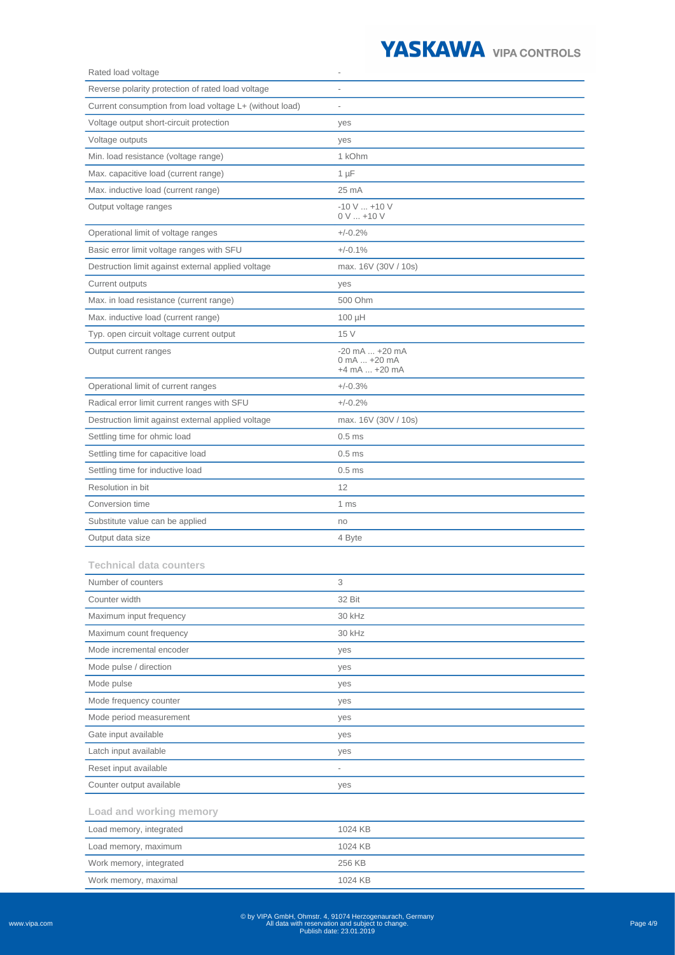

| Rated load voltage                                      |                                                      |
|---------------------------------------------------------|------------------------------------------------------|
| Reverse polarity protection of rated load voltage       |                                                      |
| Current consumption from load voltage L+ (without load) |                                                      |
| Voltage output short-circuit protection                 | yes                                                  |
| Voltage outputs                                         | yes                                                  |
| Min. load resistance (voltage range)                    | 1 kOhm                                               |
| Max. capacitive load (current range)                    | $1 \mu F$                                            |
| Max. inductive load (current range)                     | 25 mA                                                |
| Output voltage ranges                                   | $-10$ V $$ +10 V<br>$0 V  + 10 V$                    |
| Operational limit of voltage ranges                     | $+/-0.2%$                                            |
| Basic error limit voltage ranges with SFU               | $+/-0.1%$                                            |
| Destruction limit against external applied voltage      | max. 16V (30V / 10s)                                 |
| Current outputs                                         | yes                                                  |
| Max. in load resistance (current range)                 | 500 Ohm                                              |
| Max. inductive load (current range)                     | $100 \mu H$                                          |
| Typ. open circuit voltage current output                | 15 V                                                 |
| Output current ranges                                   | $-20$ mA $ + 20$ mA<br>0 mA  +20 mA<br>+4 mA  +20 mA |
| Operational limit of current ranges                     | $+/-0.3%$                                            |
| Radical error limit current ranges with SFU             | $+/-0.2%$                                            |
| Destruction limit against external applied voltage      | max. 16V (30V / 10s)                                 |
| Settling time for ohmic load                            | 0.5 <sub>ms</sub>                                    |
| Settling time for capacitive load                       | 0.5 <sub>ms</sub>                                    |
| Settling time for inductive load                        | 0.5 <sub>ms</sub>                                    |
| Resolution in bit                                       | 12                                                   |
| Conversion time                                         | 1 ms                                                 |
| Substitute value can be applied                         | no                                                   |
| Output data size                                        | 4 Byte                                               |
| <b>Technical data counters</b>                          |                                                      |
| Number of counters                                      | 3                                                    |
| Counter width                                           | 32 Bit                                               |
| Maximum input frequency                                 | 30 kHz                                               |
| Maximum count frequency                                 | 30 kHz                                               |
| Mode incremental encoder                                | yes                                                  |
| Mode pulse / direction                                  | yes                                                  |
| Mode pulse                                              | yes                                                  |
| Mode frequency counter                                  | yes                                                  |
| Mode period measurement                                 | yes                                                  |
| Gate input available                                    | yes                                                  |
| Latch input available                                   | yes                                                  |
| Reset input available                                   |                                                      |
| Counter output available                                | yes                                                  |
| Load and working memory                                 |                                                      |
| Load memory, integrated                                 | 1024 KB                                              |
| Load memory, maximum                                    | 1024 KB                                              |
| Work memory, integrated                                 | 256 KB                                               |
| Work memory, maximal                                    | 1024 KB                                              |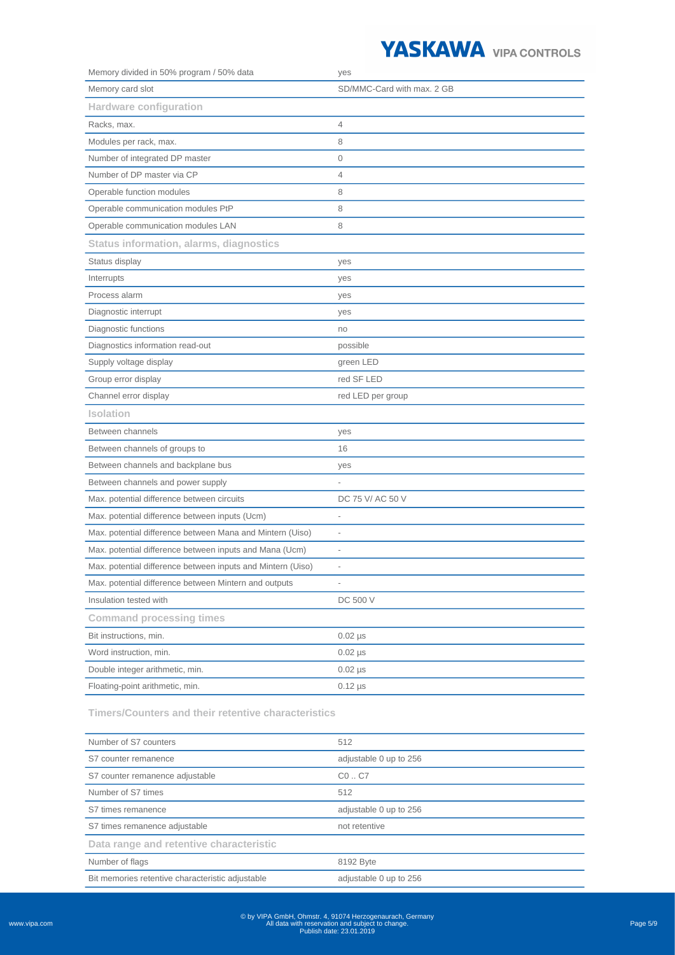## YASKAWA VIPA CONTROLS

| Memory divided in 50% program / 50% data                    | yes                          |
|-------------------------------------------------------------|------------------------------|
| Memory card slot                                            | SD/MMC-Card with max. 2 GB   |
| <b>Hardware configuration</b>                               |                              |
| Racks, max.                                                 | $\overline{4}$               |
| Modules per rack, max.                                      | 8                            |
| Number of integrated DP master                              | 0                            |
| Number of DP master via CP                                  | $\overline{4}$               |
| Operable function modules                                   | 8                            |
| Operable communication modules PtP                          | 8                            |
| Operable communication modules LAN                          | 8                            |
| <b>Status information, alarms, diagnostics</b>              |                              |
| Status display                                              | yes                          |
| Interrupts                                                  | yes                          |
| Process alarm                                               | yes                          |
| Diagnostic interrupt                                        | yes                          |
| Diagnostic functions                                        | no                           |
| Diagnostics information read-out                            | possible                     |
| Supply voltage display                                      | green LED                    |
| Group error display                                         | red SF LED                   |
| Channel error display                                       | red LED per group            |
| <b>Isolation</b>                                            |                              |
| Between channels                                            | yes                          |
| Between channels of groups to                               | 16                           |
| Between channels and backplane bus                          | yes                          |
| Between channels and power supply                           |                              |
| Max. potential difference between circuits                  | DC 75 V/ AC 50 V             |
| Max. potential difference between inputs (Ucm)              | $\overline{a}$               |
| Max. potential difference between Mana and Mintern (Uiso)   | $\overline{\phantom{a}}$     |
| Max. potential difference between inputs and Mana (Ucm)     |                              |
| Max. potential difference between inputs and Mintern (Uiso) | $\qquad \qquad \blacksquare$ |
| Max. potential difference between Mintern and outputs       |                              |
| Insulation tested with                                      | DC 500 V                     |
| <b>Command processing times</b>                             |                              |
| Bit instructions, min.                                      | $0.02$ $\mu$ s               |
| Word instruction, min.                                      | $0.02$ µs                    |
| Double integer arithmetic, min.                             | $0.02 \mu s$                 |
| Floating-point arithmetic, min.                             | $0.12 \,\mu s$               |
|                                                             |                              |

**Timers/Counters and their retentive characteristics**

| Number of S7 counters                            | 512                    |
|--------------------------------------------------|------------------------|
| S7 counter remanence                             | adjustable 0 up to 256 |
| S7 counter remanence adjustable                  | CO. C7                 |
| Number of S7 times                               | 512                    |
| S7 times remanence                               | adjustable 0 up to 256 |
| S7 times remanence adjustable                    | not retentive          |
| Data range and retentive characteristic          |                        |
| Number of flags                                  | 8192 Byte              |
| Bit memories retentive characteristic adjustable | adjustable 0 up to 256 |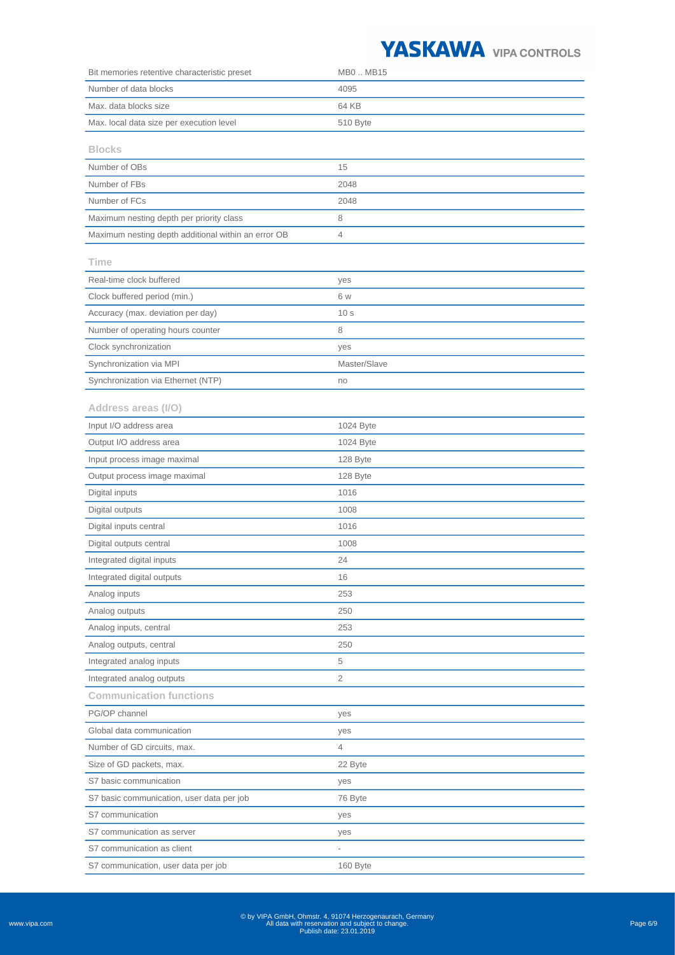## YASKAWA VIPA CONTROLS

| Bit memories retentive characteristic preset        | MB0  MB15       |
|-----------------------------------------------------|-----------------|
| Number of data blocks                               | 4095            |
| Max. data blocks size                               | 64 KB           |
| Max. local data size per execution level            | 510 Byte        |
|                                                     |                 |
| <b>Blocks</b>                                       |                 |
| Number of OBs                                       | 15              |
| Number of FBs                                       | 2048            |
| Number of FCs                                       | 2048            |
| Maximum nesting depth per priority class            | 8               |
| Maximum nesting depth additional within an error OB | 4               |
| Time                                                |                 |
| Real-time clock buffered                            | yes             |
| Clock buffered period (min.)                        | 6 w             |
| Accuracy (max. deviation per day)                   | 10 <sub>s</sub> |
| Number of operating hours counter                   | 8               |
| Clock synchronization                               | yes             |
| Synchronization via MPI                             | Master/Slave    |
| Synchronization via Ethernet (NTP)                  | no              |
| Address areas (I/O)                                 |                 |
| Input I/O address area                              | 1024 Byte       |
| Output I/O address area                             | 1024 Byte       |
|                                                     |                 |
| Input process image maximal                         | 128 Byte        |
| Output process image maximal                        | 128 Byte        |
| Digital inputs                                      | 1016            |
| Digital outputs                                     | 1008            |
| Digital inputs central                              | 1016            |
| Digital outputs central                             | 1008            |
| Integrated digital inputs                           | 24              |
| Integrated digital outputs                          | 16              |
| Analog inputs                                       | 253             |
| Analog outputs                                      | 250             |
| Analog inputs, central                              | 253             |
| Analog outputs, central                             | 250             |
| Integrated analog inputs                            | 5               |
| Integrated analog outputs                           | 2               |
| <b>Communication functions</b>                      |                 |
| PG/OP channel                                       | yes             |
| Global data communication                           | yes             |
| Number of GD circuits, max.                         | 4               |
| Size of GD packets, max.                            | 22 Byte         |
| S7 basic communication                              | yes             |
| S7 basic communication, user data per job           | 76 Byte         |
| S7 communication                                    | yes             |
| S7 communication as server                          | yes             |
| S7 communication as client                          |                 |
| S7 communication, user data per job                 | 160 Byte        |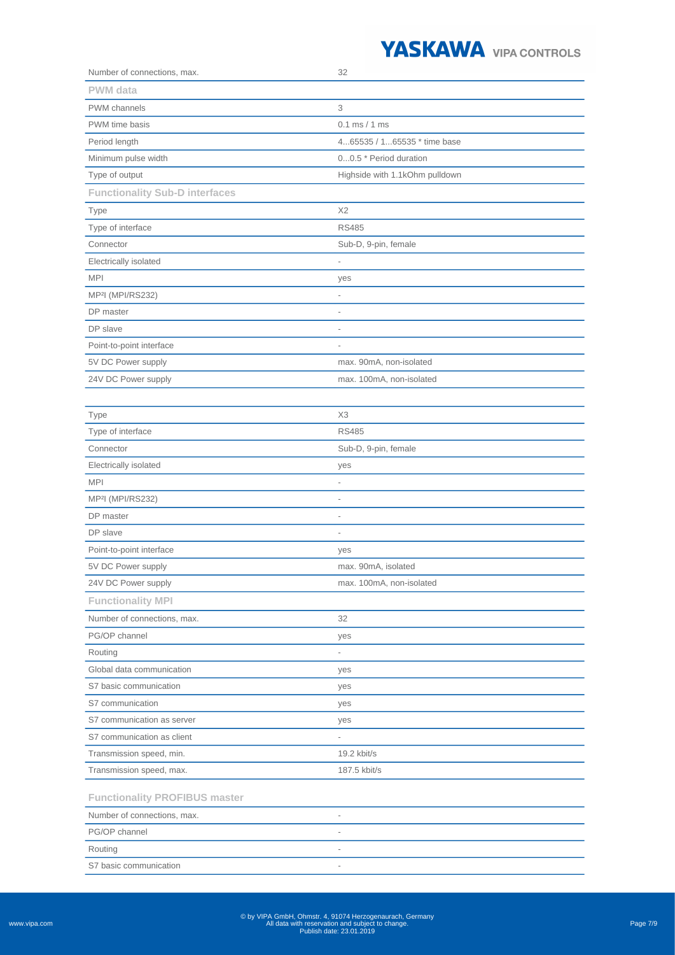## YASKAWA VIPA CONTROLS

| Number of connections, max.           | 32                             |
|---------------------------------------|--------------------------------|
| PWM data                              |                                |
| <b>PWM</b> channels                   | 3                              |
| PWM time basis                        | $0.1$ ms $/ 1$ ms              |
| Period length                         | 465535 / 165535 * time base    |
| Minimum pulse width                   | 00.5 * Period duration         |
| Type of output                        | Highside with 1.1kOhm pulldown |
| <b>Functionality Sub-D interfaces</b> |                                |
| Type                                  | X <sub>2</sub>                 |
| Type of interface                     | <b>RS485</b>                   |
| Connector                             | Sub-D, 9-pin, female           |
| Electrically isolated                 | $\overline{\phantom{0}}$       |
| <b>MPI</b>                            | yes                            |
| MP <sup>2</sup> I (MPI/RS232)         |                                |
| DP master                             | $\overline{\phantom{0}}$       |
| DP slave                              | i,                             |
| Point-to-point interface              |                                |
| 5V DC Power supply                    | max. 90mA, non-isolated        |
| 24V DC Power supply                   | max. 100mA, non-isolated       |
|                                       |                                |
| <b>Type</b>                           | X <sub>3</sub>                 |
| Type of interface                     | <b>RS485</b>                   |
| Connector                             | Sub-D, 9-pin, female           |
| Electrically isolated                 | yes                            |
| <b>MPI</b>                            |                                |
| MP <sup>2</sup> I (MPI/RS232)         | $\overline{\phantom{0}}$       |
| DP master                             | $\overline{a}$                 |
| DP slave                              | $\overline{a}$                 |
| Point-to-point interface              | yes                            |
| 5V DC Power supply                    | max. 90mA, isolated            |
| 24V DC Power supply                   | max. 100mA, non-isolated       |
| <b>Functionality MPI</b>              |                                |
| Number of connections, max.           | 32                             |
| PG/OP channel                         | yes                            |
| Routing                               | $\overline{\phantom{a}}$       |
| Global data communication             | yes                            |
| S7 basic communication                | yes                            |
| S7 communication                      | yes                            |
| S7 communication as server            | yes                            |
| S7 communication as client            |                                |
| Transmission speed, min.              | 19.2 kbit/s                    |
| Transmission speed, max.              | 187.5 kbit/s                   |
| <b>Functionality PROFIBUS master</b>  |                                |
| Number of connections, max.           |                                |
| PG/OP channel                         |                                |
| Routing                               | $\overline{\phantom{0}}$       |
| S7 basic communication                | $\overline{\phantom{a}}$       |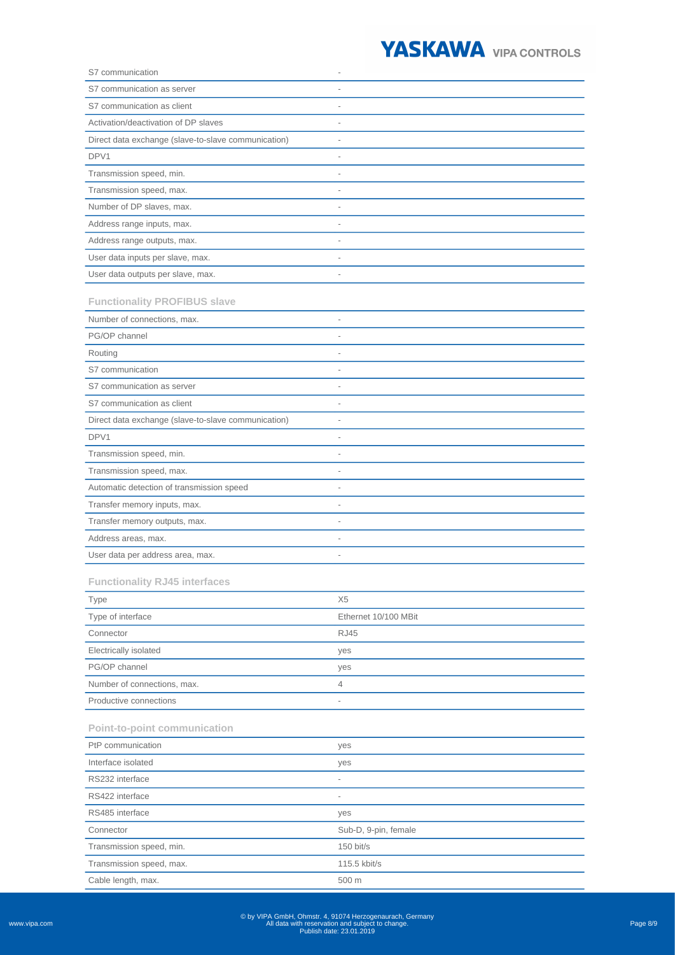

| S7 communication                                    |                          |
|-----------------------------------------------------|--------------------------|
| S7 communication as server                          |                          |
| S7 communication as client                          |                          |
| Activation/deactivation of DP slaves                |                          |
| Direct data exchange (slave-to-slave communication) |                          |
| DPV1                                                |                          |
| Transmission speed, min.                            | $\overline{a}$           |
| Transmission speed, max.                            |                          |
| Number of DP slaves, max.                           |                          |
| Address range inputs, max.                          |                          |
| Address range outputs, max.                         | $\overline{a}$           |
| User data inputs per slave, max.                    | $\overline{a}$           |
| User data outputs per slave, max.                   |                          |
| <b>Functionality PROFIBUS slave</b>                 |                          |
| Number of connections, max.                         |                          |
| PG/OP channel                                       |                          |
| Routing                                             |                          |
| S7 communication                                    |                          |
| S7 communication as server                          | $\overline{a}$           |
| S7 communication as client                          | $\overline{\phantom{0}}$ |
| Direct data exchange (slave-to-slave communication) | $\overline{a}$           |
| DPV1                                                |                          |
| Transmission speed, min.                            |                          |
| Transmission speed, max.                            | $\overline{a}$           |
| Automatic detection of transmission speed           |                          |
| Transfer memory inputs, max.                        |                          |
| Transfer memory outputs, max.                       |                          |
| Address areas, max.                                 |                          |
| User data per address area, max.                    |                          |
| <b>Functionality RJ45 interfaces</b>                |                          |
| <b>Type</b>                                         | X <sub>5</sub>           |
| Type of interface                                   | Ethernet 10/100 MBit     |
| Connector                                           | <b>RJ45</b>              |
| Electrically isolated                               | yes                      |
| PG/OP channel                                       | yes                      |
| Number of connections, max.                         | 4                        |
| Productive connections                              | $\overline{a}$           |
| <b>Point-to-point communication</b>                 |                          |
| PtP communication                                   | yes                      |
| Interface isolated                                  | yes                      |
| RS232 interface                                     | $\overline{\phantom{0}}$ |
| RS422 interface                                     | $\overline{a}$           |
| RS485 interface                                     | yes                      |
| Connector                                           | Sub-D, 9-pin, female     |
| Transmission speed, min.                            | $150$ bit/s              |
| Transmission speed, max.                            | 115.5 kbit/s             |
| Cable length, max.                                  | 500 m                    |
|                                                     |                          |